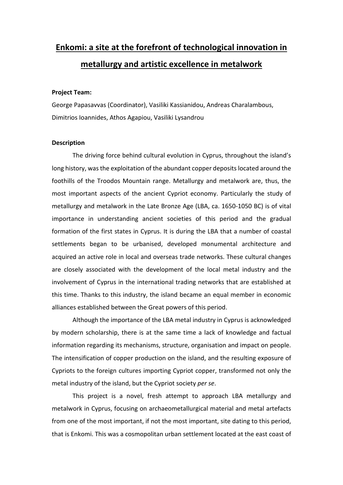## **Enkomi: a site at the forefront of technological innovation in metallurgy and artistic excellence in metalwork**

## **Project Team:**

George Papasavvas (Coordinator), Vasiliki Kassianidou, Andreas Charalambous, Dimitrios Ioannides, Athos Agapiou, Vasiliki Lysandrou

## **Description**

The driving force behind cultural evolution in Cyprus, throughout the island's long history, was the exploitation of the abundant copper deposits located around the foothills of the Troodos Mountain range. Metallurgy and metalwork are, thus, the most important aspects of the ancient Cypriot economy. Particularly the study of metallurgy and metalwork in the Late Bronze Age (LBA, ca. 1650-1050 BC) is of vital importance in understanding ancient societies of this period and the gradual formation of the first states in Cyprus. It is during the LBA that a number of coastal settlements began to be urbanised, developed monumental architecture and acquired an active role in local and overseas trade networks. These cultural changes are closely associated with the development of the local metal industry and the involvement of Cyprus in the international trading networks that are established at this time. Thanks to this industry, the island became an equal member in economic alliances established between the Great powers of this period.

Although the importance of the LBA metal industry in Cyprus is acknowledged by modern scholarship, there is at the same time a lack of knowledge and factual information regarding its mechanisms, structure, organisation and impact on people. The intensification of copper production on the island, and the resulting exposure of Cypriots to the foreign cultures importing Cypriot copper, transformed not only the metal industry of the island, but the Cypriot society *per se*.

This project is a novel, fresh attempt to approach LBA metallurgy and metalwork in Cyprus, focusing on archaeometallurgical material and metal artefacts from one of the most important, if not the most important, site dating to this period, that is Enkomi. This was a cosmopolitan urban settlement located at the east coast of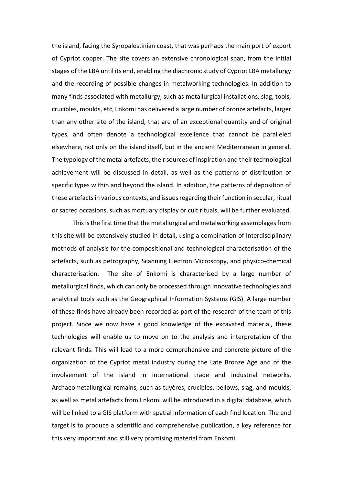the island, facing the Syropalestinian coast, that was perhaps the main port of export of Cypriot copper. The site covers an extensive chronological span, from the initial stages of the LBA until its end, enabling the diachronic study of Cypriot LBA metallurgy and the recording of possible changes in metalworking technologies. In addition to many finds associated with metallurgy, such as metallurgical installations, slag, tools, crucibles, moulds, etc, Enkomi has delivered a large number of bronze artefacts, larger than any other site of the island, that are of an exceptional quantity and of original types, and often denote a technological excellence that cannot be paralleled elsewhere, not only on the island itself, but in the ancient Mediterranean in general. The typology of the metal artefacts, their sources of inspiration and their technological achievement will be discussed in detail, as well as the patterns of distribution of specific types within and beyond the island. In addition, the patterns of deposition of these artefacts in various contexts, and issues regarding their function in secular, ritual or sacred occasions, such as mortuary display or cult rituals, will be further evaluated.

This isthe first time that the metallurgical and metalworking assemblages from this site will be extensively studied in detail, using a combination of interdisciplinary methods of analysis for the compositional and technological characterisation of the artefacts, such as petrography, Scanning Electron Microscopy, and physico-chemical characterisation. The site of Enkomi is characterised by a large number of metallurgical finds, which can only be processed through innovative technologies and analytical tools such as the Geographical Information Systems (GIS). A large number of these finds have already been recorded as part of the research of the team of this project. Since we now have a good knowledge of the excavated material, these technologies will enable us to move on to the analysis and interpretation of the relevant finds. This will lead to a more comprehensive and concrete picture of the organization of the Cypriot metal industry during the Late Bronze Age and of the involvement of the island in international trade and industrial networks. Archaeometallurgical remains, such as tuyères, crucibles, bellows, slag, and moulds, as well as metal artefacts from Enkomi will be introduced in a digital database, which will be linked to a GIS platform with spatial information of each find location. The end target is to produce a scientific and comprehensive publication, a key reference for this very important and still very promising material from Enkomi.